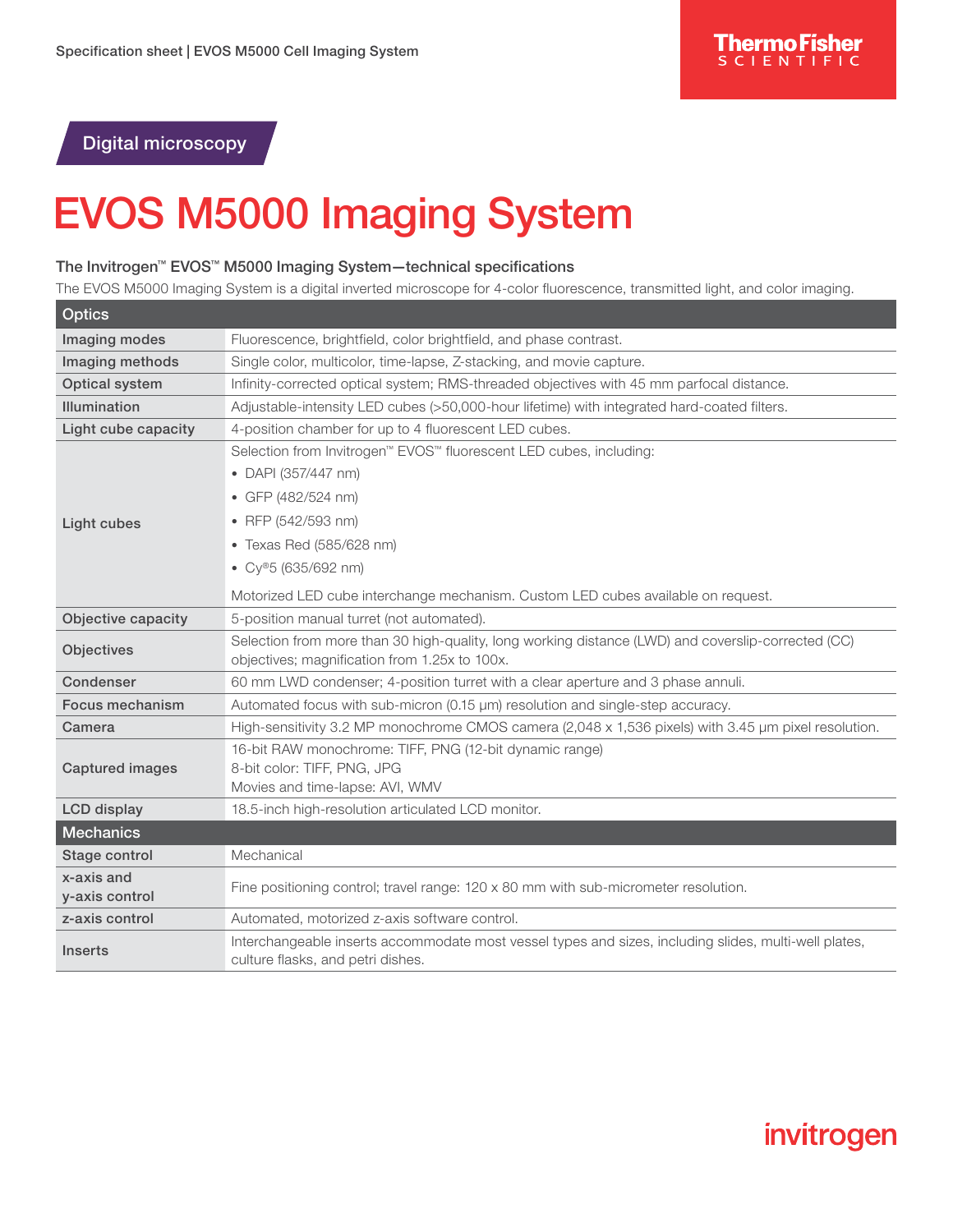Digital microscopy

## EVOS M5000 Imaging System

## The Invitrogen™ EVOS™ M5000 Imaging System—technical specifications

The EVOS M5000 Imaging System is a digital inverted microscope for 4-color fluorescence, transmitted light, and color imaging.

| <b>Optics</b>             |                                                                                                                                            |
|---------------------------|--------------------------------------------------------------------------------------------------------------------------------------------|
| Imaging modes             | Fluorescence, brightfield, color brightfield, and phase contrast.                                                                          |
| Imaging methods           | Single color, multicolor, time-lapse, Z-stacking, and movie capture.                                                                       |
| Optical system            | Infinity-corrected optical system; RMS-threaded objectives with 45 mm parfocal distance.                                                   |
| <b>Illumination</b>       | Adjustable-intensity LED cubes (>50,000-hour lifetime) with integrated hard-coated filters.                                                |
| Light cube capacity       | 4-position chamber for up to 4 fluorescent LED cubes.                                                                                      |
|                           | Selection from Invitrogen™ EVOS™ fluorescent LED cubes, including:                                                                         |
|                           | • DAPI (357/447 nm)                                                                                                                        |
|                           | • GFP (482/524 nm)                                                                                                                         |
| Light cubes               | • RFP (542/593 nm)                                                                                                                         |
|                           | • Texas Red (585/628 nm)                                                                                                                   |
|                           | • $Cy^{\circledast}5(635/692 nm)$                                                                                                          |
|                           | Motorized LED cube interchange mechanism. Custom LED cubes available on request.                                                           |
| <b>Objective capacity</b> | 5-position manual turret (not automated).                                                                                                  |
| Objectives                | Selection from more than 30 high-quality, long working distance (LWD) and coverslip-corrected (CC)                                         |
| Condenser                 | objectives; magnification from 1.25x to 100x.<br>60 mm LWD condenser; 4-position turret with a clear aperture and 3 phase annuli.          |
| Focus mechanism           | Automated focus with sub-micron (0.15 µm) resolution and single-step accuracy.                                                             |
| Camera                    | High-sensitivity 3.2 MP monochrome CMOS camera (2,048 x 1,536 pixels) with 3.45 µm pixel resolution.                                       |
|                           | 16-bit RAW monochrome: TIFF, PNG (12-bit dynamic range)                                                                                    |
| <b>Captured images</b>    | 8-bit color: TIFF, PNG, JPG                                                                                                                |
|                           | Movies and time-lapse: AVI, WMV                                                                                                            |
| <b>LCD</b> display        | 18.5-inch high-resolution articulated LCD monitor.                                                                                         |
| <b>Mechanics</b>          |                                                                                                                                            |
| Stage control             | Mechanical                                                                                                                                 |
| x-axis and                | Fine positioning control; travel range: $120 \times 80$ mm with sub-micrometer resolution.                                                 |
| y-axis control            |                                                                                                                                            |
| z-axis control            | Automated, motorized z-axis software control.                                                                                              |
| <b>Inserts</b>            | Interchangeable inserts accommodate most vessel types and sizes, including slides, multi-well plates,<br>culture flasks, and petri dishes. |

## invitrogen